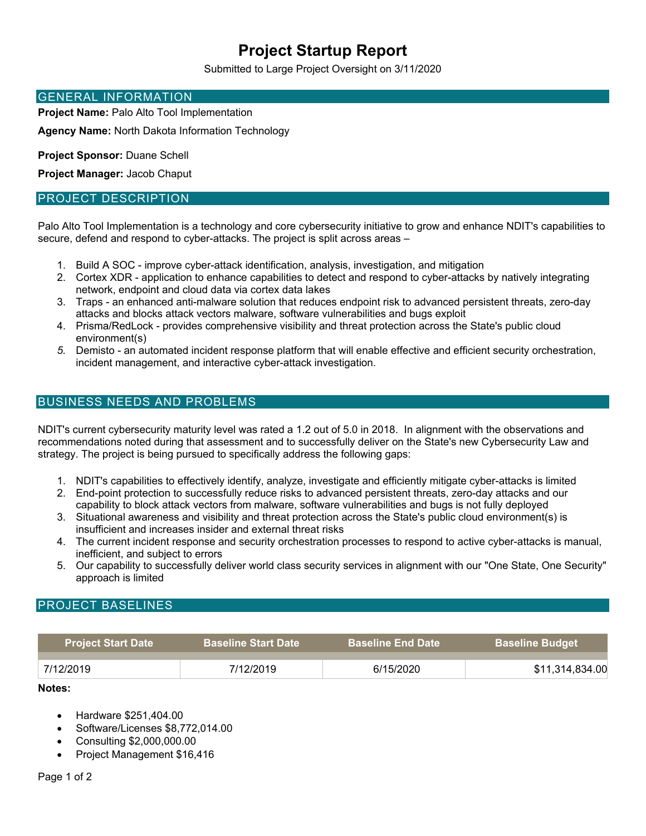# **Project Startup Report**

Submitted to Large Project Oversight on 3/11/2020

#### GENERAL INFORMATION

**Project Name:** Palo Alto Tool Implementation

**Agency Name:** North Dakota Information Technology

**Project Sponsor:** Duane Schell

**Project Manager:** Jacob Chaput

### PROJECT DESCRIPTION

Palo Alto Tool Implementation is a technology and core cybersecurity initiative to grow and enhance NDIT's capabilities to secure, defend and respond to cyber-attacks. The project is split across areas –

- 1. Build A SOC improve cyber-attack identification, analysis, investigation, and mitigation
- 2. Cortex XDR application to enhance capabilities to detect and respond to cyber-attacks by natively integrating network, endpoint and cloud data via cortex data lakes
- 3. Traps an enhanced anti-malware solution that reduces endpoint risk to advanced persistent threats, zero-day attacks and blocks attack vectors malware, software vulnerabilities and bugs exploit
- 4. Prisma/RedLock provides comprehensive visibility and threat protection across the State's public cloud environment(s)
- *5.* Demisto an automated incident response platform that will enable effective and efficient security orchestration, incident management, and interactive cyber-attack investigation.

## BUSINESS NEEDS AND PROBLEMS

NDIT's current cybersecurity maturity level was rated a 1.2 out of 5.0 in 2018. In alignment with the observations and recommendations noted during that assessment and to successfully deliver on the State's new Cybersecurity Law and strategy. The project is being pursued to specifically address the following gaps:

- 1. NDIT's capabilities to effectively identify, analyze, investigate and efficiently mitigate cyber-attacks is limited
- 2. End-point protection to successfully reduce risks to advanced persistent threats, zero-day attacks and our capability to block attack vectors from malware, software vulnerabilities and bugs is not fully deployed
- 3. Situational awareness and visibility and threat protection across the State's public cloud environment(s) is insufficient and increases insider and external threat risks
- 4. The current incident response and security orchestration processes to respond to active cyber-attacks is manual, inefficient, and subject to errors
- 5. Our capability to successfully deliver world class security services in alignment with our "One State, One Security" approach is limited

## PROJECT BASELINES

| <b>Project Start Date</b> | <b>Baseline Start Date</b> | <b>Baseline End Date</b> | <b>Baseline Budget</b> |
|---------------------------|----------------------------|--------------------------|------------------------|
| 7/12/2019                 | 7/12/2019                  | 6/15/2020                | \$11,314,834.00        |

#### **Notes:**

- Hardware \$251,404.00
- Software/Licenses \$8,772,014.00
- Consulting \$2,000,000.00
- Project Management \$16,416